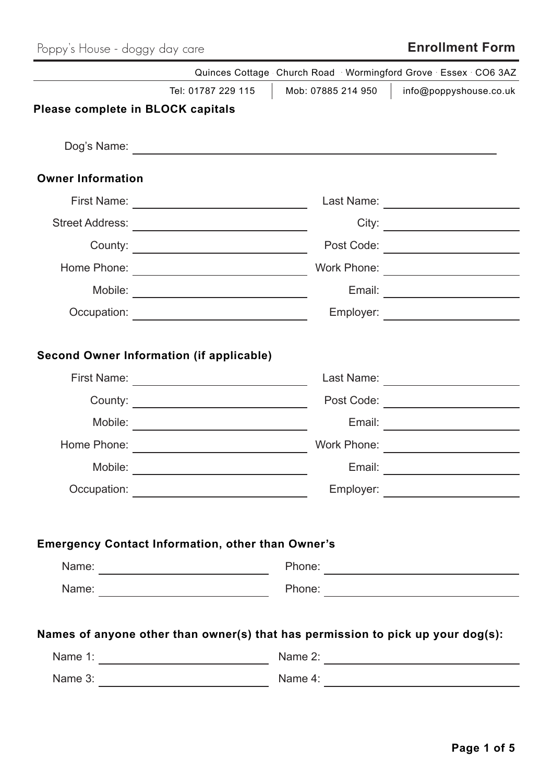# Poppy's House - doggy day care **Enrollment Form**

| Quinces Cottage Church Road Wormingford Grove Essex CO6 3AZ                                  |                                                                                                                                              |                                                           |  |  |  |
|----------------------------------------------------------------------------------------------|----------------------------------------------------------------------------------------------------------------------------------------------|-----------------------------------------------------------|--|--|--|
|                                                                                              | Tel: 01787 229 115<br>Mob: 07885 214 950                                                                                                     | info@poppyshouse.co.uk                                    |  |  |  |
| Please complete in BLOCK capitals                                                            |                                                                                                                                              |                                                           |  |  |  |
|                                                                                              |                                                                                                                                              |                                                           |  |  |  |
| <b>Owner Information</b>                                                                     |                                                                                                                                              |                                                           |  |  |  |
| First Name: <u>_________________________________</u>                                         |                                                                                                                                              | Last Name: _________________________                      |  |  |  |
|                                                                                              |                                                                                                                                              |                                                           |  |  |  |
|                                                                                              | Post Code:                                                                                                                                   |                                                           |  |  |  |
| Home Phone:                                                                                  | Work Phone:<br><u> 1989 - Johann Stoff, fransk politik (d. 19</u>                                                                            |                                                           |  |  |  |
|                                                                                              | Email:                                                                                                                                       | <u> 1989 - Andrea Station Books, amerikansk politik (</u> |  |  |  |
|                                                                                              |                                                                                                                                              | Employer: ________________________                        |  |  |  |
| Second Owner Information (if applicable)<br>First Name:<br>County:<br>Mobile:<br>Home Phone: | <u> 1989 - Johann Barbara, martxa amerikan per</u><br>Post Code:<br>Email:<br>Work Phone:<br><u> 1989 - Johann Barbara, martxa</u>           | Last Name:<br><u> 1989 - Johann Barbara, martxa al</u>    |  |  |  |
| Mobile:<br>Occupation:                                                                       | Email:<br><u> 1989 - Johann Barn, mars and de Branch Barn, mars and de Branch Barn, mars and de Branch Barn, mars and de Br</u><br>Employer: |                                                           |  |  |  |
| <b>Emergency Contact Information, other than Owner's</b>                                     | Names of anyone other than owner(s) that has permission to pick up your dog(s):                                                              | Name 2:                                                   |  |  |  |
|                                                                                              |                                                                                                                                              |                                                           |  |  |  |
|                                                                                              |                                                                                                                                              |                                                           |  |  |  |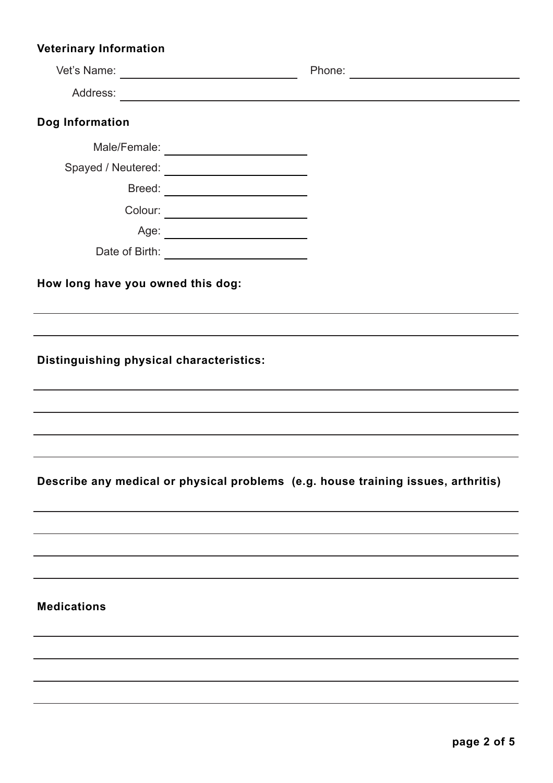## **Veterinary Information**

| Dog Information                                                                   |  |  |
|-----------------------------------------------------------------------------------|--|--|
|                                                                                   |  |  |
|                                                                                   |  |  |
| Breed:                                                                            |  |  |
|                                                                                   |  |  |
| Age: __________________________                                                   |  |  |
|                                                                                   |  |  |
| How long have you owned this dog:                                                 |  |  |
| Distinguishing physical characteristics:                                          |  |  |
|                                                                                   |  |  |
|                                                                                   |  |  |
|                                                                                   |  |  |
|                                                                                   |  |  |
| Describe any medical or physical problems (e.g. house training issues, arthritis) |  |  |
|                                                                                   |  |  |
|                                                                                   |  |  |
|                                                                                   |  |  |
| <b>Medications</b>                                                                |  |  |
|                                                                                   |  |  |
|                                                                                   |  |  |
|                                                                                   |  |  |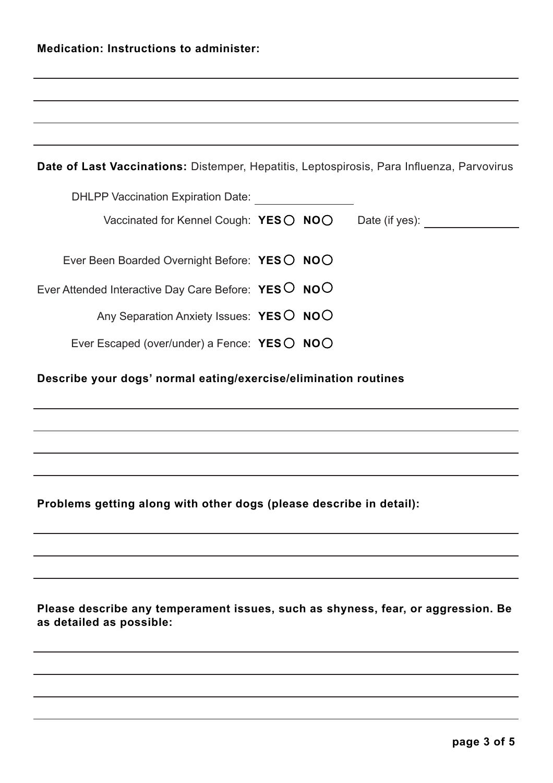| <b>Medication: Instructions to administer:</b> |  |
|------------------------------------------------|--|
|                                                |  |

| Date of Last Vaccinations: Distemper, Hepatitis, Leptospirosis, Para Influenza, Parvovirus |
|--------------------------------------------------------------------------------------------|
| <b>DHLPP Vaccination Expiration Date:</b>                                                  |
| Vaccinated for Kennel Cough: $YESO NOO$<br>Date (if yes):                                  |
| Ever Been Boarded Overnight Before: YESO NOO                                               |
|                                                                                            |
| Ever Attended Interactive Day Care Before: YESO NOO                                        |
| Any Separation Anxiety Issues: YESO NOO                                                    |
| Ever Escaped (over/under) a Fence: YESO NOO                                                |
| Describe your dogs' normal eating/exercise/elimination routines                            |
|                                                                                            |
|                                                                                            |
|                                                                                            |
|                                                                                            |

**Problems getting along with other dogs (please describe in detail):** 

**Please describe any temperament issues, such as shyness, fear, or aggression. Be as detailed as possible:**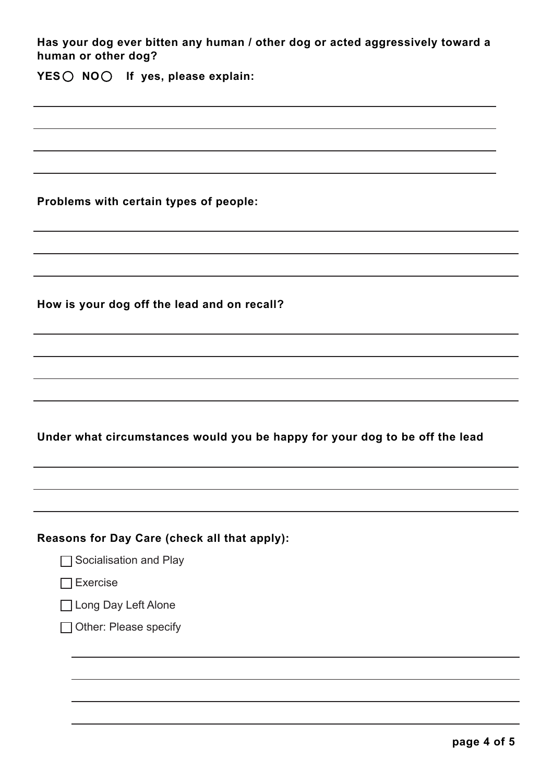| Has your dog ever bitten any human / other dog or acted aggressively toward a<br>human or other dog? |
|------------------------------------------------------------------------------------------------------|
| YES ◯ NO ◯ If yes, please explain:                                                                   |
|                                                                                                      |
|                                                                                                      |
|                                                                                                      |
| Problems with certain types of people:                                                               |
|                                                                                                      |
|                                                                                                      |
| How is your dog off the lead and on recall?                                                          |
|                                                                                                      |
|                                                                                                      |
|                                                                                                      |
| Under what circumstances would you be happy for your dog to be off the lead                          |
|                                                                                                      |
|                                                                                                      |
| Reasons for Day Care (check all that apply):                                                         |
| Socialisation and Play                                                                               |
| <b>Exercise</b>                                                                                      |
| □ Long Day Left Alone                                                                                |
| Other: Please specify                                                                                |
|                                                                                                      |
|                                                                                                      |
|                                                                                                      |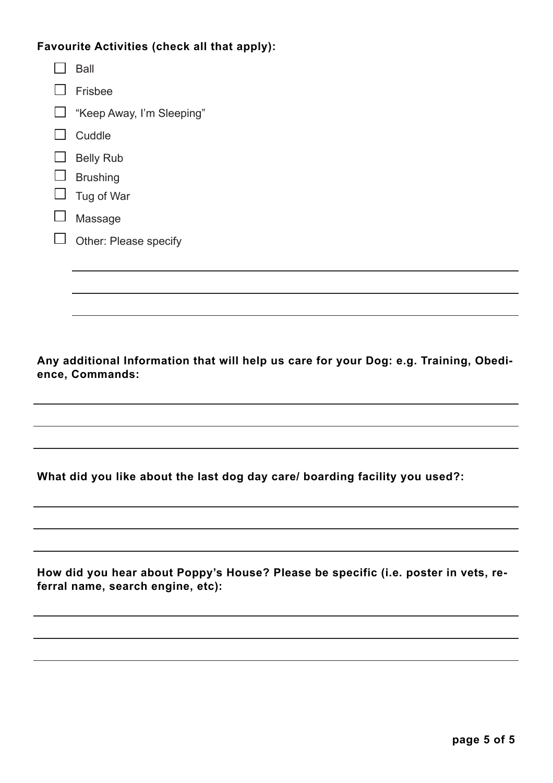### **Favourite Activities (check all that apply):**

| Ball                      |
|---------------------------|
| Frisbee                   |
| "Keep Away, I'm Sleeping" |
| Cuddle                    |
| <b>Belly Rub</b>          |
| <b>Brushing</b>           |
| Tug of War                |
| Massage                   |
| Other: Please specify     |
|                           |
|                           |

**Any additional Information that will help us care for your Dog: e.g. Training, Obedience, Commands:**

**What did you like about the last dog day care/ boarding facility you used?:** 

**How did you hear about Poppy's House? Please be specific (i.e. poster in vets, referral name, search engine, etc):**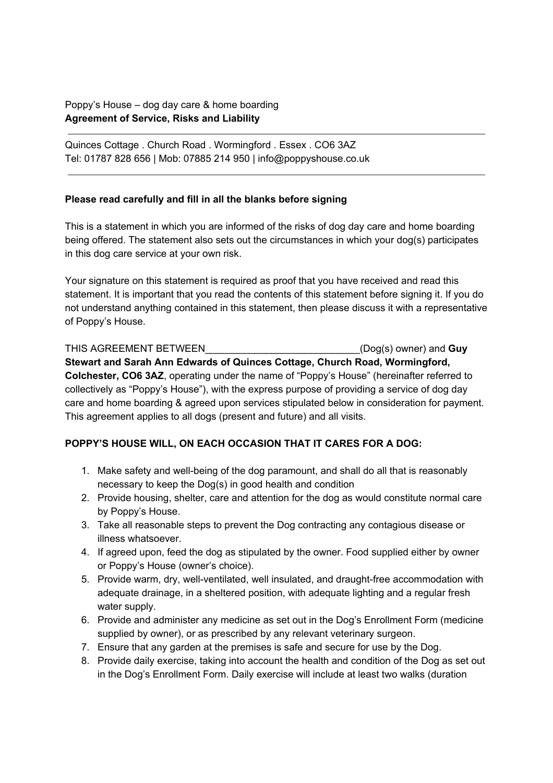#### Poppy's House – dog day care & home boarding **Agreement of Service, Risks and Liability**

Quinces Cottage . Church Road . Wormingford . Essex . CO6 3AZ Tel: 01787 828 656 | Mob: 07885 214 950 | info@poppyshouse.co.uk

#### **Please read carefully and fill in all the blanks before signing**

This is a statement in which you are informed of the risks of dog day care and home boarding being offered. The statement also sets out the circumstances in which your dog(s) participates in this dog care service at your own risk.

Your signature on this statement is required as proof that you have received and read this statement. It is important that you read the contents of this statement before signing it. If you do not understand anything contained in this statement, then please discuss it with a representative of Poppy's House.

THIS AGREEMENT BETWEEN **THIS AGREEMENT BETWEEN** (Dog(s) owner) and **Guy Stewart and Sarah Ann Edwards of Quinces Cottage, Church Road, Wormingford, Colchester, CO6 3AZ**, operating under the name of "Poppy's House" (hereinafter referred to collectively as "Poppy's House"), with the express purpose of providing a service of dog day care and home boarding & agreed upon services stipulated below in consideration for payment. This agreement applies to all dogs (present and future) and all visits.

#### **POPPY'S HOUSE WILL, ON EACH OCCASION THAT IT CARES FOR A DOG:**

- 1. Make safety and well-being of the dog paramount, and shall do all that is reasonably necessary to keep the Dog(s) in good health and condition
- 2. Provide housing, shelter, care and attention for the dog as would constitute normal care by Poppy's House.
- 3. Take all reasonable steps to prevent the Dog contracting any contagious disease or illness whatsoever.
- 4. If agreed upon, feed the dog as stipulated by the owner. Food supplied either by owner or Poppy's House (owner's choice).
- 5. Provide warm, dry, well-ventilated, well insulated, and draught-free accommodation with adequate drainage, in a sheltered position, with adequate lighting and a regular fresh water supply.
- 6. Provide and administer any medicine as set out in the Dog's Enrollment Form (medicine supplied by owner), or as prescribed by any relevant veterinary surgeon.
- 7. Ensure that any garden at the premises is safe and secure for use by the Dog.
- 8. Provide daily exercise, taking into account the health and condition of the Dog as set out in the Dog's Enrollment Form. Daily exercise will include at least two walks (duration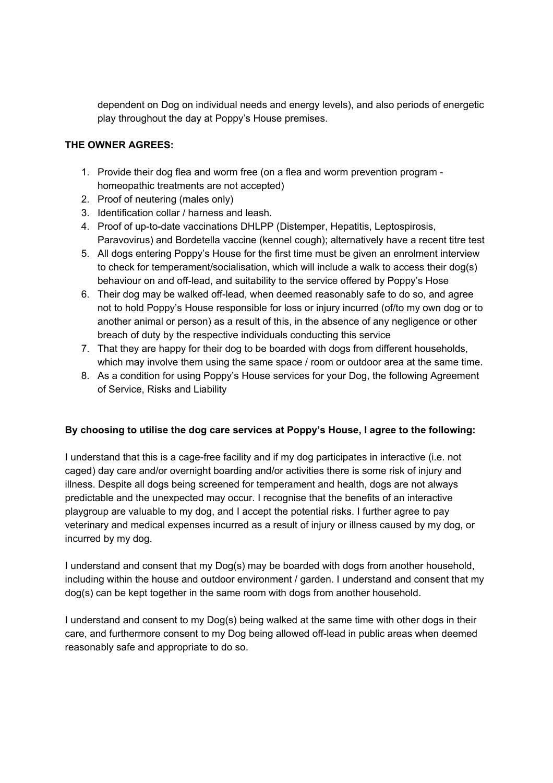dependent on Dog on individual needs and energy levels), and also periods of energetic play throughout the day at Poppy's House premises.

#### **THE OWNER AGREES:**

- 1. Provide their dog flea and worm free (on a flea and worm prevention program homeopathic treatments are not accepted)
- 2. Proof of neutering (males only)
- 3. Identification collar / harness and leash.
- 4. Proof of up-to-date vaccinations DHLPP (Distemper, Hepatitis, Leptospirosis, Paravovirus) and Bordetella vaccine (kennel cough); alternatively have a recent titre test
- 5. All dogs entering Poppy's House for the first time must be given an enrolment interview to check for temperament/socialisation, which will include a walk to access their dog(s) behaviour on and off-lead, and suitability to the service offered by Poppy's Hose
- 6. Their dog may be walked off-lead, when deemed reasonably safe to do so, and agree not to hold Poppy's House responsible for loss or injury incurred (of/to my own dog or to another animal or person) as a result of this, in the absence of any negligence or other breach of duty by the respective individuals conducting this service
- 7. That they are happy for their dog to be boarded with dogs from different households, which may involve them using the same space / room or outdoor area at the same time.
- 8. As a condition for using Poppy's House services for your Dog, the following Agreement of Service, Risks and Liability

#### **By choosing to utilise the dog care services at Poppy's House, I agree to the following:**

I understand that this is a cage-free facility and if my dog participates in interactive (i.e. not caged) day care and/or overnight boarding and/or activities there is some risk of injury and illness. Despite all dogs being screened for temperament and health, dogs are not always predictable and the unexpected may occur. I recognise that the benefits of an interactive playgroup are valuable to my dog, and I accept the potential risks. I further agree to pay veterinary and medical expenses incurred as a result of injury or illness caused by my dog, or incurred by my dog.

I understand and consent that my Dog(s) may be boarded with dogs from another household, including within the house and outdoor environment / garden. I understand and consent that my dog(s) can be kept together in the same room with dogs from another household.

I understand and consent to my Dog(s) being walked at the same time with other dogs in their care, and furthermore consent to my Dog being allowed off-lead in public areas when deemed reasonably safe and appropriate to do so.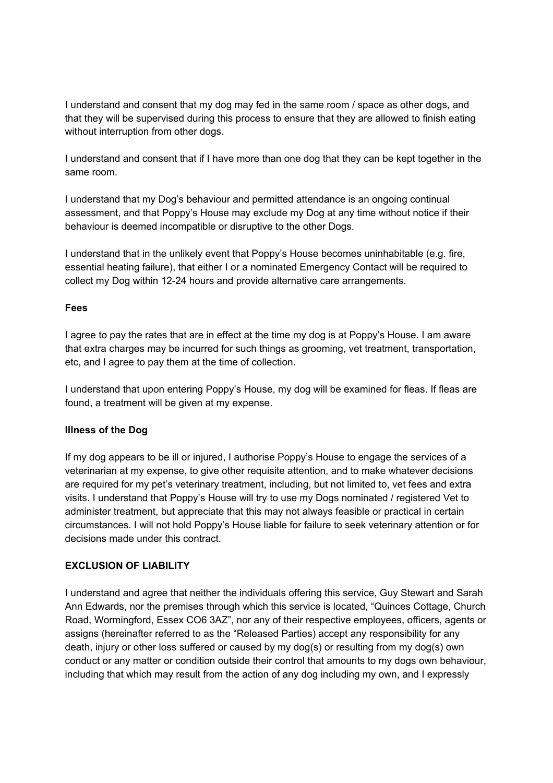I understand and consent that my dog may fed in the same room / space as other dogs, and that they will be supervised during this process to ensure that they are allowed to finish eating without interruption from other dogs.

I understand and consent that if I have more than one dog that they can be kept together in the same room.

I understand that my Dog's behaviour and permitted attendance is an ongoing continual assessment, and that Poppy's House may exclude my Dog at any time without notice if their behaviour is deemed incompatible or disruptive to the other Dogs.

I understand that in the unlikely event that Poppy's House becomes uninhabitable (e.g. fire, essential heating failure), that either I or a nominated Emergency Contact will be required to collect my Dog within 12-24 hours and provide alternative care arrangements.

#### **Fees**

I agree to pay the rates that are in effect at the time my dog is at Poppy's House. I am aware that extra charges may be incurred for such things as grooming, vet treatment, transportation, etc, and I agree to pay them at the time of collection.

I understand that upon entering Poppy's House, my dog will be examined for fleas. If fleas are found, a treatment will be given at my expense.

#### **Illness of the Dog**

If my dog appears to be ill or injured, I authorise Poppy's House to engage the services of a veterinarian at my expense, to give other requisite attention, and to make whatever decisions are required for my pet's veterinary treatment, including, but not limited to, vet fees and extra visits. I understand that Poppy's House will try to use my Dogs nominated / registered Vet to administer treatment, but appreciate that this may not always feasible or practical in certain circumstances. I will not hold Poppy's House liable for failure to seek veterinary attention or for decisions made under this contract.

#### **EXCLUSION OF LIABILITY**

I understand and agree that neither the individuals offering this service, Guy Stewart and Sarah Ann Edwards, nor the premises through which this service is located, "Quinces Cottage, Church Road, Wormingford, Essex CO6 3AZ", nor any of their respective employees, officers, agents or assigns (hereinafter referred to as the "Released Parties) accept any responsibility for any death, injury or other loss suffered or caused by my dog(s) or resulting from my dog(s) own conduct or any matter or condition outside their control that amounts to my dogs own behaviour, including that which may result from the action of any dog including my own, and I expressly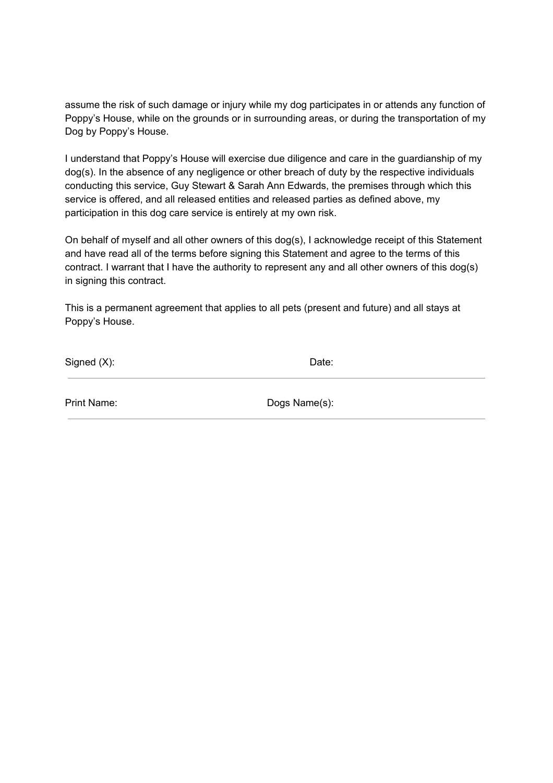assume the risk of such damage or injury while my dog participates in or attends any function of Poppy's House, while on the grounds or in surrounding areas, or during the transportation of my Dog by Poppy's House.

I understand that Poppy's House will exercise due diligence and care in the guardianship of my dog(s). In the absence of any negligence or other breach of duty by the respective individuals conducting this service, Guy Stewart & Sarah Ann Edwards, the premises through which this service is offered, and all released entities and released parties as defined above, my participation in this dog care service is entirely at my own risk.

On behalf of myself and all other owners of this dog(s), I acknowledge receipt of this Statement and have read all of the terms before signing this Statement and agree to the terms of this contract. I warrant that I have the authority to represent any and all other owners of this dog(s) in signing this contract.

This is a permanent agreement that applies to all pets (present and future) and all stays at Poppy's House.

Signed (X): Date:

Print Name: Dogs Name(s):